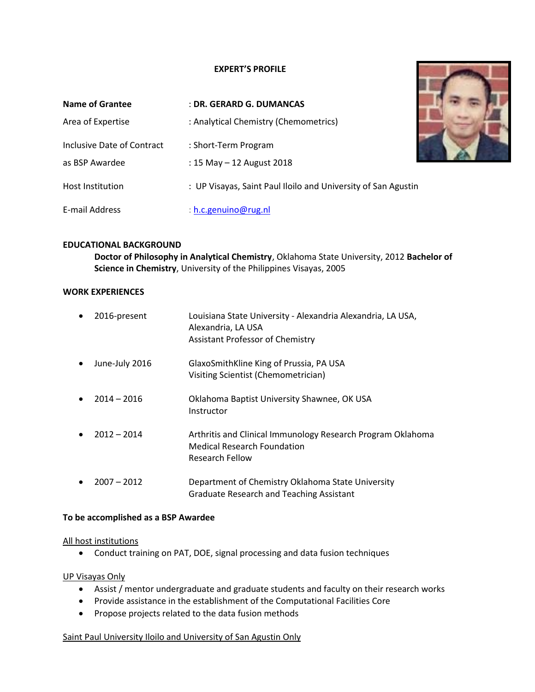## **EXPERT'S PROFILE**

| Name of Grantee            | : DR. GERARD G. DUMANCAS                                      |  |
|----------------------------|---------------------------------------------------------------|--|
| Area of Expertise          | : Analytical Chemistry (Chemometrics)                         |  |
| Inclusive Date of Contract | : Short-Term Program                                          |  |
| as BSP Awardee             | : 15 May $-$ 12 August 2018                                   |  |
| <b>Host Institution</b>    | : UP Visayas, Saint Paul Iloilo and University of San Agustin |  |
| E-mail Address             | : h.c.genuino@rug.nl                                          |  |

# **EDUCATIONAL BACKGROUND**

**Doctor of Philosophy in Analytical Chemistry**, Oklahoma State University, 2012 **Bachelor of Science in Chemistry**, University of the Philippines Visayas, 2005

#### **WORK EXPERIENCES**

| $\bullet$ | 2016-present   | Louisiana State University - Alexandria Alexandria, LA USA,<br>Alexandria, LA USA<br><b>Assistant Professor of Chemistry</b> |
|-----------|----------------|------------------------------------------------------------------------------------------------------------------------------|
| $\bullet$ | June-July 2016 | GlaxoSmithKline King of Prussia, PA USA<br>Visiting Scientist (Chemometrician)                                               |
| $\bullet$ | $2014 - 2016$  | Oklahoma Baptist University Shawnee, OK USA<br>Instructor                                                                    |
| $\bullet$ | $2012 - 2014$  | Arthritis and Clinical Immunology Research Program Oklahoma<br><b>Medical Research Foundation</b><br>Research Fellow         |
| $\bullet$ | $2007 - 2012$  | Department of Chemistry Oklahoma State University<br><b>Graduate Research and Teaching Assistant</b>                         |

## **To be accomplished as a BSP Awardee**

#### All host institutions

• Conduct training on PAT, DOE, signal processing and data fusion techniques

#### UP Visayas Only

- Assist / mentor undergraduate and graduate students and faculty on their research works
- Provide assistance in the establishment of the Computational Facilities Core
- Propose projects related to the data fusion methods

## Saint Paul University Iloilo and University of San Agustin Only